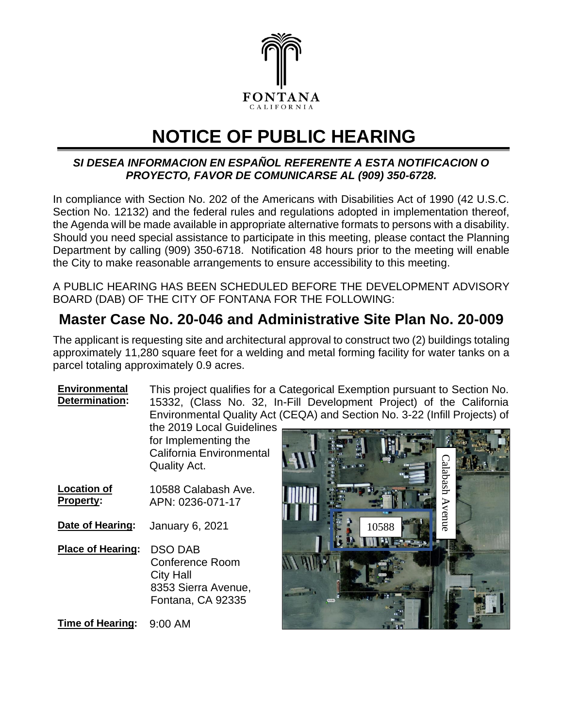

## **NOTICE OF PUBLIC HEARING**

## *SI DESEA INFORMACION EN ESPAÑOL REFERENTE A ESTA NOTIFICACION O PROYECTO, FAVOR DE COMUNICARSE AL (909) 350-6728.*

In compliance with Section No. 202 of the Americans with Disabilities Act of 1990 (42 U.S.C. Section No. 12132) and the federal rules and regulations adopted in implementation thereof, the Agenda will be made available in appropriate alternative formats to persons with a disability. Should you need special assistance to participate in this meeting, please contact the Planning Department by calling (909) 350-6718. Notification 48 hours prior to the meeting will enable the City to make reasonable arrangements to ensure accessibility to this meeting.

A PUBLIC HEARING HAS BEEN SCHEDULED BEFORE THE DEVELOPMENT ADVISORY BOARD (DAB) OF THE CITY OF FONTANA FOR THE FOLLOWING:

## **Master Case No. 20-046 and Administrative Site Plan No. 20-009**

The applicant is requesting site and architectural approval to construct two (2) buildings totaling approximately 11,280 square feet for a welding and metal forming facility for water tanks on a parcel totaling approximately 0.9 acres.

**Environmental Determination:** This project qualifies for a Categorical Exemption pursuant to Section No. 15332, (Class No. 32, In-Fill Development Project) of the California Environmental Quality Act (CEQA) and Section No. 3-22 (Infill Projects) of

the 2019 Local Guidelines for Implementing the California Environmental Quality Act.

**Location of Property:** 10588 Calabash Ave. APN: 0236-071-17

**Date of Hearing:** January 6, 2021

**Place of Hearing:** DSO DAB Conference Room City Hall 8353 Sierra Avenue, Fontana, CA 92335

**Time of Hearing:** 9:00 AM